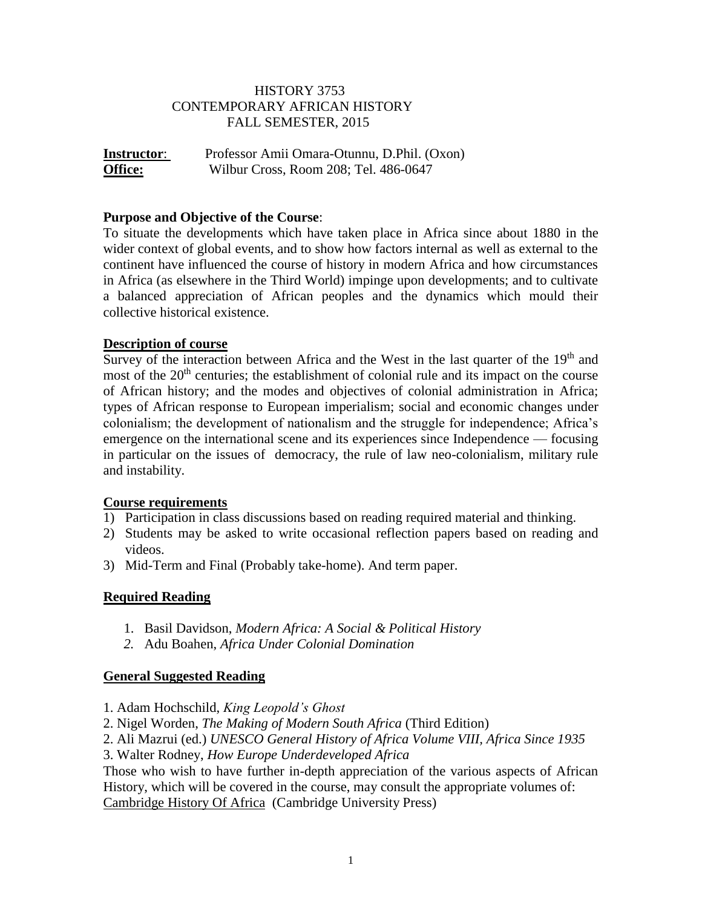# HISTORY 3753 CONTEMPORARY AFRICAN HISTORY FALL SEMESTER, 2015

**Instructor**: Professor Amii Omara-Otunnu, D.Phil. (Oxon) **Office:** Wilbur Cross, Room 208; Tel. 486-0647

### **Purpose and Objective of the Course**:

To situate the developments which have taken place in Africa since about 1880 in the wider context of global events, and to show how factors internal as well as external to the continent have influenced the course of history in modern Africa and how circumstances in Africa (as elsewhere in the Third World) impinge upon developments; and to cultivate a balanced appreciation of African peoples and the dynamics which mould their collective historical existence.

### **Description of course**

Survey of the interaction between Africa and the West in the last quarter of the  $19<sup>th</sup>$  and most of the  $20<sup>th</sup>$  centuries; the establishment of colonial rule and its impact on the course of African history; and the modes and objectives of colonial administration in Africa; types of African response to European imperialism; social and economic changes under colonialism; the development of nationalism and the struggle for independence; Africa's emergence on the international scene and its experiences since Independence — focusing in particular on the issues of democracy, the rule of law neo-colonialism, military rule and instability.

#### **Course requirements**

- 1) Participation in class discussions based on reading required material and thinking.
- 2) Students may be asked to write occasional reflection papers based on reading and videos.
- 3) Mid-Term and Final (Probably take-home). And term paper.

#### **Required Reading**

- 1. Basil Davidson, *Modern Africa: A Social & Political History*
- *2.* Adu Boahen, *Africa Under Colonial Domination*

#### **General Suggested Reading**

- 1. Adam Hochschild, *King Leopold's Ghost*
- 2. Nigel Worden, *The Making of Modern South Africa* (Third Edition)
- 2. Ali Mazrui (ed.) *UNESCO General History of Africa Volume VIII, Africa Since 1935*
- 3. Walter Rodney, *How Europe Underdeveloped Africa*

Those who wish to have further in-depth appreciation of the various aspects of African History, which will be covered in the course, may consult the appropriate volumes of: Cambridge History Of Africa (Cambridge University Press)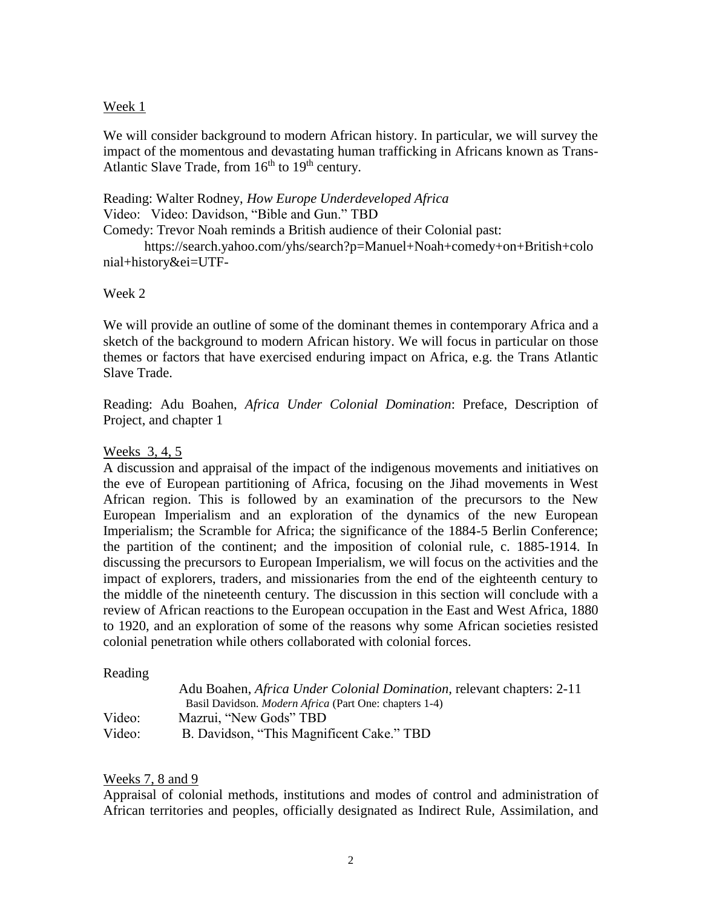#### Week 1

We will consider background to modern African history. In particular, we will survey the impact of the momentous and devastating human trafficking in Africans known as Trans-Atlantic Slave Trade, from  $16<sup>th</sup>$  to  $19<sup>th</sup>$  century.

### Reading: Walter Rodney, *How Europe Underdeveloped Africa* Video: Video: Davidson, "Bible and Gun." TBD

Comedy: Trevor Noah reminds a British audience of their Colonial past:

https://search.yahoo.com/yhs/search?p=Manuel+Noah+comedy+on+British+colo nial+history&ei=UTF-

### Week 2

We will provide an outline of some of the dominant themes in contemporary Africa and a sketch of the background to modern African history. We will focus in particular on those themes or factors that have exercised enduring impact on Africa, e.g. the Trans Atlantic Slave Trade.

Reading: Adu Boahen, *Africa Under Colonial Domination*: Preface, Description of Project, and chapter 1

## Weeks 3, 4, 5

A discussion and appraisal of the impact of the indigenous movements and initiatives on the eve of European partitioning of Africa, focusing on the Jihad movements in West African region. This is followed by an examination of the precursors to the New European Imperialism and an exploration of the dynamics of the new European Imperialism; the Scramble for Africa; the significance of the 1884-5 Berlin Conference; the partition of the continent; and the imposition of colonial rule, c. 1885-1914. In discussing the precursors to European Imperialism, we will focus on the activities and the impact of explorers, traders, and missionaries from the end of the eighteenth century to the middle of the nineteenth century. The discussion in this section will conclude with a review of African reactions to the European occupation in the East and West Africa, 1880 to 1920, and an exploration of some of the reasons why some African societies resisted colonial penetration while others collaborated with colonial forces.

### Reading

|        | Adu Boahen, <i>Africa Under Colonial Domination</i> , relevant chapters: 2-11 |
|--------|-------------------------------------------------------------------------------|
|        | Basil Davidson. <i>Modern Africa</i> (Part One: chapters 1-4)                 |
| Video: | Mazrui, "New Gods" TBD                                                        |
| Video: | B. Davidson, "This Magnificent Cake." TBD                                     |

### Weeks 7, 8 and 9

Appraisal of colonial methods, institutions and modes of control and administration of African territories and peoples, officially designated as Indirect Rule, Assimilation, and